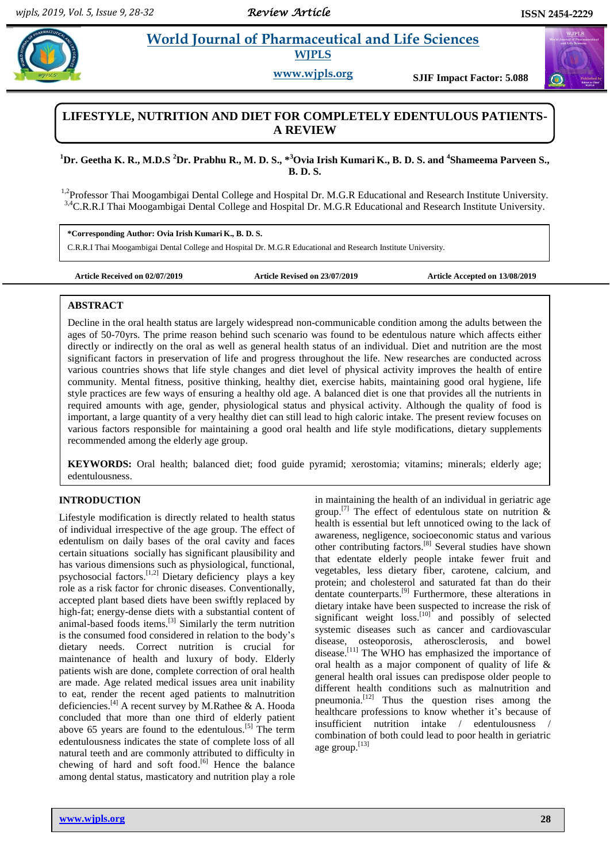$\bigcirc$ 

# **Property all and Sciences Pharmaceutical and Life Sciences WJPLS**

**www.wjpls.org SJIF Impact Factor: 5.088**

# **LIFESTYLE, NUTRITION AND DIET FOR COMPLETELY EDENTULOUS PATIENTS-A REVIEW**

**<sup>1</sup>Dr. Geetha K. R., M.D.S <sup>2</sup>Dr. Prabhu R., M. D. S., \*<sup>3</sup>Ovia Irish Kumari K., B. D. S. and <sup>4</sup> Shameema Parveen S., B. D. S.**

<sup>1,2</sup>Professor Thai Moogambigai Dental College and Hospital Dr. M.G.R Educational and Research Institute University. <sup>3,4</sup>C.R.R.I Thai Moogambigai Dental College and Hospital Dr. M.G.R Educational and Research Institute University.

**\*Corresponding Author: Ovia Irish Kumari K., B. D. S.**

C.R.R.I Thai Moogambigai Dental College and Hospital Dr. M.G.R Educational and Research Institute University.

**Article Received on 02/07/2019 Article Revised on 23/07/2019 Article Accepted on 13/08/2019**

# **ABSTRACT**

Decline in the oral health status are largely widespread non-communicable condition among the adults between the ages of 50-70yrs. The prime reason behind such scenario was found to be edentulous nature which affects either directly or indirectly on the oral as well as general health status of an individual. Diet and nutrition are the most significant factors in preservation of life and progress throughout the life. New researches are conducted across various countries shows that life style changes and diet level of physical activity improves the health of entire community. Mental fitness, positive thinking, healthy diet, exercise habits, maintaining good oral hygiene, life style practices are few ways of ensuring a healthy old age. A balanced diet is one that provides all the nutrients in required amounts with age, gender, physiological status and physical activity. Although the quality of food is important, a large quantity of a very healthy diet can still lead to high caloric intake. The present review focuses on various factors responsible for maintaining a good oral health and life style modifications, dietary supplements recommended among the elderly age group.

**KEYWORDS:** Oral health; balanced diet; food guide pyramid; xerostomia; vitamins; minerals; elderly age; edentulousness.

# **INTRODUCTION**

Lifestyle modification is directly related to health status of individual irrespective of the age group. The effect of edentulism on daily bases of the oral cavity and faces certain situations socially has significant plausibility and has various dimensions such as physiological, functional, psychosocial factors.<sup>[1,2]</sup> Dietary deficiency plays a key role as a risk factor for chronic diseases. Conventionally, accepted plant based diets have been swiftly replaced by high-fat; energy-dense diets with a substantial content of animal-based foods items.<sup>[3]</sup> Similarly the term nutrition is the consumed food considered in relation to the body's dietary needs. Correct nutrition is crucial for maintenance of health and luxury of body. Elderly patients wish are done, complete correction of oral health are made. Age related medical issues area unit inability to eat, render the recent aged patients to malnutrition deficiencies. [4] A recent survey by M.Rathee & A. Hooda concluded that more than one third of elderly patient above 65 years are found to the edentulous.<sup>[5]</sup> The term edentulousness indicates the state of complete loss of all natural teeth and are commonly attributed to difficulty in chewing of hard and soft food. [6] Hence the balance among dental status, masticatory and nutrition play a role

in maintaining the health of an individual in geriatric age group.<sup>[7]</sup> The effect of edentulous state on nutrition  $\&$ health is essential but left unnoticed owing to the lack of awareness, negligence, socioeconomic status and various other contributing factors.<sup>[8]</sup> Several studies have shown that edentate elderly people intake fewer fruit and vegetables, less dietary fiber, carotene, calcium, and protein; and cholesterol and saturated fat than do their dentate counterparts.<sup>[9]</sup> Furthermore, these alterations in dietary intake have been suspected to increase the risk of significant weight  $loss.$ <sup>[10]</sup> and possibly of selected systemic diseases such as cancer and cardiovascular disease, osteoporosis, atherosclerosis, and bowel disease.<sup>[11]</sup> The WHO has emphasized the importance of oral health as a major component of quality of life & general health oral issues can predispose older people to different health conditions such as malnutrition and pneumonia.[12] Thus the question rises among the healthcare professions to know whether it's because of insufficient nutrition intake / edentulousness combination of both could lead to poor health in geriatric age group.[13]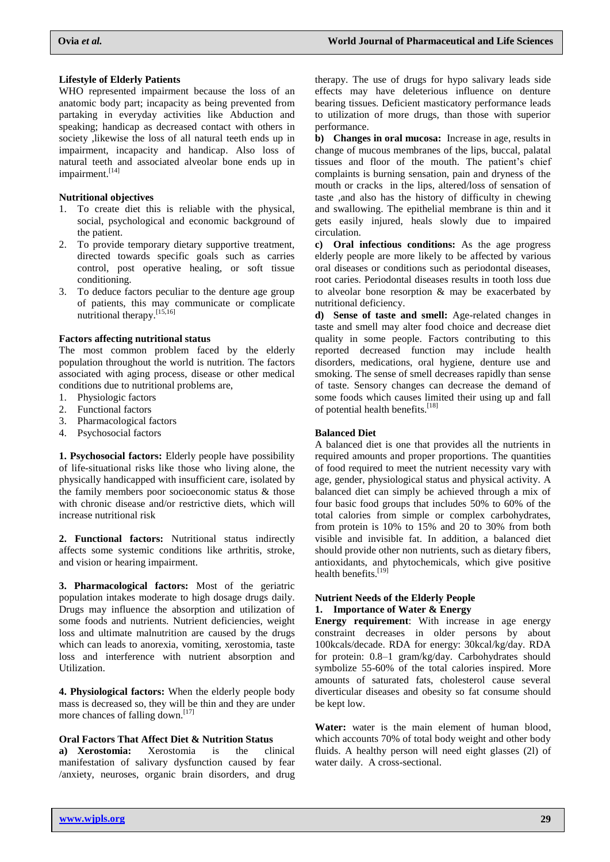#### **Lifestyle of Elderly Patients**

WHO represented impairment because the loss of an anatomic body part; incapacity as being prevented from partaking in everyday activities like Abduction and speaking; handicap as decreased contact with others in society ,likewise the loss of all natural teeth ends up in impairment, incapacity and handicap. Also loss of natural teeth and associated alveolar bone ends up in impairment.<sup>[14]</sup>

#### **Nutritional objectives**

- 1. To create diet this is reliable with the physical, social, psychological and economic background of the patient.
- 2. To provide temporary dietary supportive treatment, directed towards specific goals such as carries control, post operative healing, or soft tissue conditioning.
- 3. To deduce factors peculiar to the denture age group of patients, this may communicate or complicate nutritional therapy.<sup>[15,16]</sup>

#### **Factors affecting nutritional status**

The most common problem faced by the elderly population throughout the world is nutrition. The factors associated with aging process, disease or other medical conditions due to nutritional problems are,

- 1. Physiologic factors
- 2. Functional factors
- 3. Pharmacological factors
- 4. Psychosocial factors

**1. Psychosocial factors:** Elderly people have possibility of life-situational risks like those who living alone, the physically handicapped with insufficient care, isolated by the family members poor socioeconomic status & those with chronic disease and/or restrictive diets, which will increase nutritional risk

**2. Functional factors:** Nutritional status indirectly affects some systemic conditions like arthritis, stroke, and vision or hearing impairment.

**3. Pharmacological factors:** Most of the geriatric population intakes moderate to high dosage drugs daily. Drugs may influence the absorption and utilization of some foods and nutrients. Nutrient deficiencies, weight loss and ultimate malnutrition are caused by the drugs which can leads to anorexia, vomiting, xerostomia, taste loss and interference with nutrient absorption and Utilization.

**4. Physiological factors:** When the elderly people body mass is decreased so, they will be thin and they are under more chances of falling down.<sup>[17]</sup>

### **Oral Factors That Affect Diet & Nutrition Status**

**a) Xerostomia:** Xerostomia is the clinical manifestation of salivary dysfunction caused by fear /anxiety, neuroses, organic brain disorders, and drug therapy. The use of drugs for hypo salivary leads side effects may have deleterious influence on denture bearing tissues. Deficient masticatory performance leads to utilization of more drugs, than those with superior performance.

**b) Changes in oral mucosa:** Increase in age, results in change of mucous membranes of the lips, buccal, palatal tissues and floor of the mouth. The patient's chief complaints is burning sensation, pain and dryness of the mouth or cracks in the lips, altered/loss of sensation of taste ,and also has the history of difficulty in chewing and swallowing. The epithelial membrane is thin and it gets easily injured, heals slowly due to impaired circulation.

**c) Oral infectious conditions:** As the age progress elderly people are more likely to be affected by various oral diseases or conditions such as periodontal diseases, root caries. Periodontal diseases results in tooth loss due to alveolar bone resorption & may be exacerbated by nutritional deficiency.

**d) Sense of taste and smell:** Age-related changes in taste and smell may alter food choice and decrease diet quality in some people. Factors contributing to this reported decreased function may include health disorders, medications, oral hygiene, denture use and smoking. The sense of smell decreases rapidly than sense of taste. Sensory changes can decrease the demand of some foods which causes limited their using up and fall of potential health benefits.<sup>[18]</sup>

### **Balanced Diet**

A balanced diet is one that provides all the nutrients in required amounts and proper proportions. The quantities of food required to meet the nutrient necessity vary with age, gender, physiological status and physical activity. A balanced diet can simply be achieved through a mix of four basic food groups that includes 50% to 60% of the total calories from simple or complex carbohydrates, from protein is 10% to 15% and 20 to 30% from both visible and invisible fat. In addition, a balanced diet should provide other non nutrients, such as dietary fibers, antioxidants, and phytochemicals, which give positive health benefits.<sup>[19]</sup>

### **Nutrient Needs of the Elderly People 1. Importance of Water & Energy**

**Energy requirement**: With increase in age energy constraint decreases in older persons by about 100kcals/decade. RDA for energy: 30kcal/kg/day. RDA for protein: 0.8–1 gram/kg/day. Carbohydrates should symbolize 55-60% of the total calories inspired. More amounts of saturated fats, cholesterol cause several diverticular diseases and obesity so fat consume should be kept low.

**Water:** water is the main element of human blood, which accounts 70% of total body weight and other body fluids. A healthy person will need eight glasses (2l) of water daily. A cross-sectional.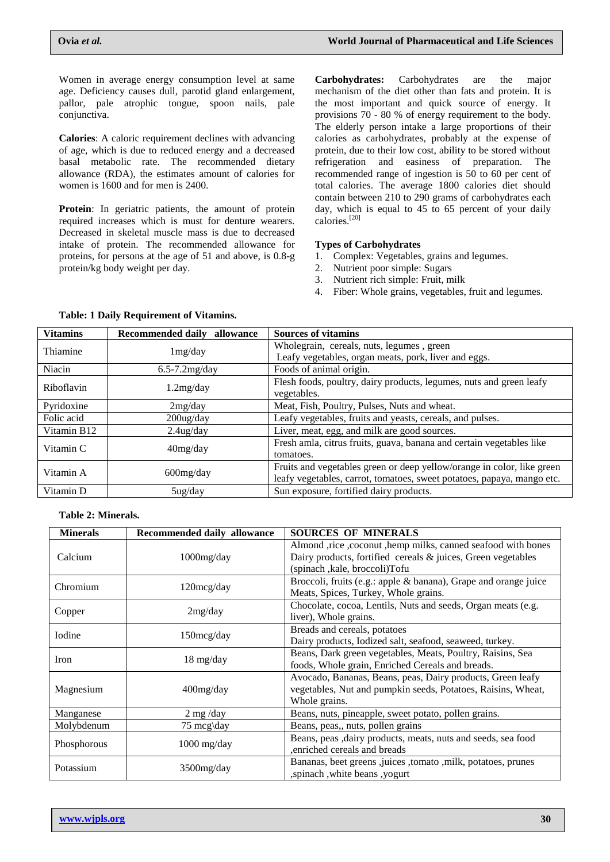Women in average energy consumption level at same age. Deficiency causes dull, parotid gland enlargement, pallor, pale atrophic tongue, spoon nails, pale conjunctiva.

**Calories**: A caloric requirement declines with advancing of age, which is due to reduced energy and a decreased basal metabolic rate. The recommended dietary allowance (RDA), the estimates amount of calories for women is 1600 and for men is 2400.

**Protein**: In geriatric patients, the amount of protein required increases which is must for denture wearers. Decreased in skeletal muscle mass is due to decreased intake of protein. The recommended allowance for proteins, for persons at the age of 51 and above, is 0.8-g protein/kg body weight per day.

**Carbohydrates:** Carbohydrates are the major mechanism of the diet other than fats and protein. It is the most important and quick source of energy. It provisions 70 - 80 % of energy requirement to the body. The elderly person intake a large proportions of their calories as carbohydrates, probably at the expense of protein, due to their low cost, ability to be stored without refrigeration and easiness of preparation. The recommended range of ingestion is 50 to 60 per cent of total calories. The average 1800 calories diet should contain between 210 to 290 grams of carbohydrates each day, which is equal to 45 to 65 percent of your daily calories.[20]

## **Types of Carbohydrates**

- 1. Complex: Vegetables, grains and legumes.
- 2. Nutrient poor simple: Sugars
- 3. Nutrient rich simple: Fruit, milk
- 4. Fiber: Whole grains, vegetables, fruit and legumes.

| <b>Vitamins</b> | Recommended daily allowance | <b>Sources of vitamins</b>                                             |
|-----------------|-----------------------------|------------------------------------------------------------------------|
| Thiamine        | 1mg/day                     | Wholegrain, cereals, nuts, legumes, green                              |
|                 |                             | Leafy vegetables, organ meats, pork, liver and eggs.                   |
| Niacin          | $6.5 - 7.2$ mg/day          | Foods of animal origin.                                                |
| Riboflavin      | 1.2mg/day                   | Flesh foods, poultry, dairy products, legumes, nuts and green leafy    |
|                 |                             | vegetables.                                                            |
| Pyridoxine      | 2mg/day                     | Meat, Fish, Poultry, Pulses, Nuts and wheat.                           |
| Folic acid      | $200$ ug/day                | Leafy vegetables, fruits and yeasts, cereals, and pulses.              |
| Vitamin B12     | $2.4$ ug/day                | Liver, meat, egg, and milk are good sources.                           |
| Vitamin C       | 40mg/day                    | Fresh amla, citrus fruits, guava, banana and certain vegetables like   |
|                 |                             | tomatoes.                                                              |
| Vitamin A       | $600$ mg/day                | Fruits and vegetables green or deep yellow/orange in color, like green |
|                 |                             | leafy vegetables, carrot, tomatoes, sweet potatoes, papaya, mango etc. |
| Vitamin D       | $5u$ g/day                  | Sun exposure, fortified dairy products.                                |

# **Table: 1 Daily Requirement of Vitamins.**

### **Table 2: Minerals.**

| <b>Minerals</b> | Recommended daily allowance | <b>SOURCES OF MINERALS</b>                                      |
|-----------------|-----------------------------|-----------------------------------------------------------------|
| Calcium         | $1000$ mg/day               | Almond ,rice ,coconut ,hemp milks, canned seafood with bones    |
|                 |                             | Dairy products, fortified cereals & juices, Green vegetables    |
|                 |                             | (spinach, kale, broccoli)Tofu                                   |
| Chromium        | 120mcg/day                  | Broccoli, fruits (e.g.: apple & banana), Grape and orange juice |
|                 |                             | Meats, Spices, Turkey, Whole grains.                            |
| Copper          | 2mg/day                     | Chocolate, cocoa, Lentils, Nuts and seeds, Organ meats (e.g.    |
|                 |                             | liver), Whole grains.                                           |
| <b>I</b> odine  | $150 \text{mcg/day}$        | Breads and cereals, potatoes                                    |
|                 |                             | Dairy products, Iodized salt, seafood, seaweed, turkey.         |
| <b>Iron</b>     | $18 \text{ mg/day}$         | Beans, Dark green vegetables, Meats, Poultry, Raisins, Sea      |
|                 |                             | foods, Whole grain, Enriched Cereals and breads.                |
|                 | $400$ mg/day                | Avocado, Bananas, Beans, peas, Dairy products, Green leafy      |
| Magnesium       |                             | vegetables, Nut and pumpkin seeds, Potatoes, Raisins, Wheat,    |
|                 |                             | Whole grains.                                                   |
| Manganese       | $2 \text{ mg/day}$          | Beans, nuts, pineapple, sweet potato, pollen grains.            |
| Molybdenum      | $75 \text{ meg/day}$        | Beans, peas,, nuts, pollen grains                               |
| Phosphorous     | $1000$ mg/day               | Beans, peas , dairy products, meats, nuts and seeds, sea food   |
|                 |                             | , enriched cereals and breads                                   |
| Potassium       | $3500$ mg/day               | Bananas, beet greens, juices, tomato, milk, potatoes, prunes    |
|                 |                             | , spinach, white beans, yogurt                                  |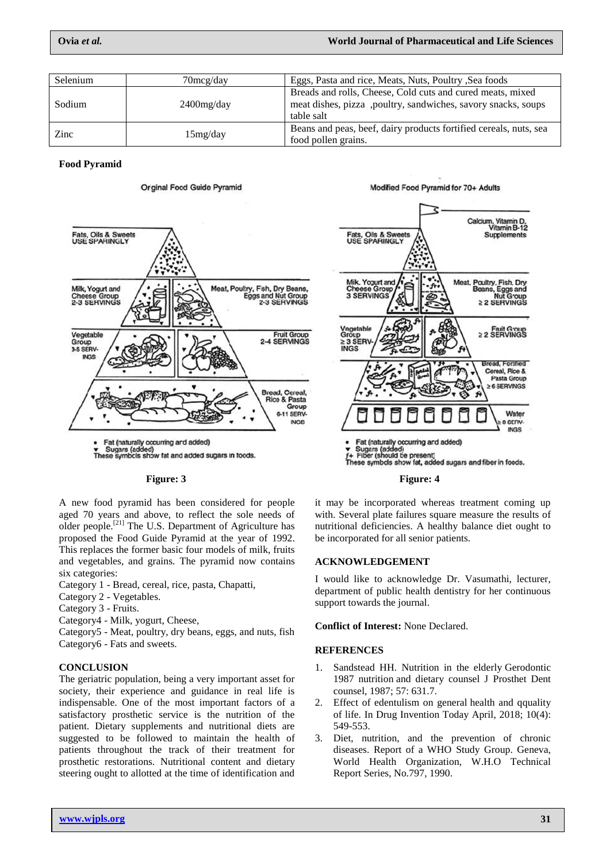| Selenium | $70 \text{mcg/day}$ | Eggs, Pasta and rice, Meats, Nuts, Poultry, Sea foods                                                                                     |
|----------|---------------------|-------------------------------------------------------------------------------------------------------------------------------------------|
| Sodium   | $2400$ mg/day       | Breads and rolls, Cheese, Cold cuts and cured meats, mixed<br>meat dishes, pizza, poultry, sandwiches, savory snacks, soups<br>table salt |
| Zinc     | 15mg/day            | Beans and peas, beef, dairy products fortified cereals, nuts, sea<br>food pollen grains.                                                  |

**Food Pyramid**



**Orginal Food Guide Pyramid** 

A new food pyramid has been considered for people aged 70 years and above, to reflect the sole needs of older people.<sup>[21]</sup> The U.S. Department of Agriculture has proposed the Food Guide Pyramid at the year of 1992. This replaces the former basic four models of milk, fruits and vegetables, and grains. The pyramid now contains six categories:

Category 1 - Bread, cereal, rice, pasta, Chapatti,

- Category 2 Vegetables.
- Category 3 Fruits.
- Category4 Milk, yogurt, Cheese,

Category5 - Meat, poultry, dry beans, eggs, and nuts, fish Category6 - Fats and sweets.

# **CONCLUSION**

The geriatric population, being a very important asset for society, their experience and guidance in real life is indispensable. One of the most important factors of a satisfactory prosthetic service is the nutrition of the patient. Dietary supplements and nutritional diets are suggested to be followed to maintain the health of patients throughout the track of their treatment for prosthetic restorations. Nutritional content and dietary steering ought to allotted at the time of identification and



Modified Food Pyramid for 70+ Adults

#### Figure: 3 Figure: 4

it may be incorporated whereas treatment coming up with. Several plate failures square measure the results of nutritional deficiencies. A healthy balance diet ought to be incorporated for all senior patients.

# **ACKNOWLEDGEMENT**

I would like to acknowledge Dr. Vasumathi, lecturer, department of public health dentistry for her continuous support towards the journal.

**Conflict of Interest:** None Declared.

# **REFERENCES**

- 1. Sandstead HH. Nutrition in the elderly Gerodontic 1987 nutrition and dietary counsel J Prosthet Dent counsel, 1987; 57: 631.7.
- 2. Effect of edentulism on general health and qquality of life. In Drug Invention Today April, 2018; 10(4): 549-553.
- 3. Diet, nutrition, and the prevention of chronic diseases. Report of a WHO Study Group. Geneva, World Health Organization, W.H.O Technical Report Series, No.797, 1990.